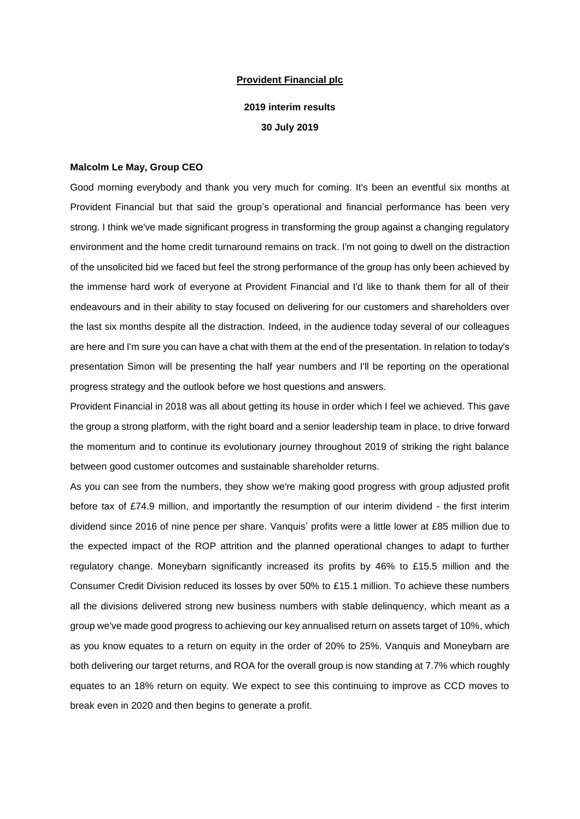# **Provident Financial plc**

# **2019 interim results 30 July 2019**

#### **Malcolm Le May, Group CEO**

Good morning everybody and thank you very much for coming. It's been an eventful six months at Provident Financial but that said the group's operational and financial performance has been very strong. I think we've made significant progress in transforming the group against a changing regulatory environment and the home credit turnaround remains on track. I'm not going to dwell on the distraction of the unsolicited bid we faced but feel the strong performance of the group has only been achieved by the immense hard work of everyone at Provident Financial and I'd like to thank them for all of their endeavours and in their ability to stay focused on delivering for our customers and shareholders over the last six months despite all the distraction. Indeed, in the audience today several of our colleagues are here and I'm sure you can have a chat with them at the end of the presentation. In relation to today's presentation Simon will be presenting the half year numbers and I'll be reporting on the operational progress strategy and the outlook before we host questions and answers.

Provident Financial in 2018 was all about getting its house in order which I feel we achieved. This gave the group a strong platform, with the right board and a senior leadership team in place, to drive forward the momentum and to continue its evolutionary journey throughout 2019 of striking the right balance between good customer outcomes and sustainable shareholder returns.

As you can see from the numbers, they show we're making good progress with group adjusted profit before tax of £74.9 million, and importantly the resumption of our interim dividend - the first interim dividend since 2016 of nine pence per share. Vanquis' profits were a little lower at £85 million due to the expected impact of the ROP attrition and the planned operational changes to adapt to further regulatory change. Moneybarn significantly increased its profits by 46% to £15.5 million and the Consumer Credit Division reduced its losses by over 50% to £15.1 million. To achieve these numbers all the divisions delivered strong new business numbers with stable delinquency, which meant as a group we've made good progress to achieving our key annualised return on assets target of 10%, which as you know equates to a return on equity in the order of 20% to 25%. Vanquis and Moneybarn are both delivering our target returns, and ROA for the overall group is now standing at 7.7% which roughly equates to an 18% return on equity. We expect to see this continuing to improve as CCD moves to break even in 2020 and then begins to generate a profit.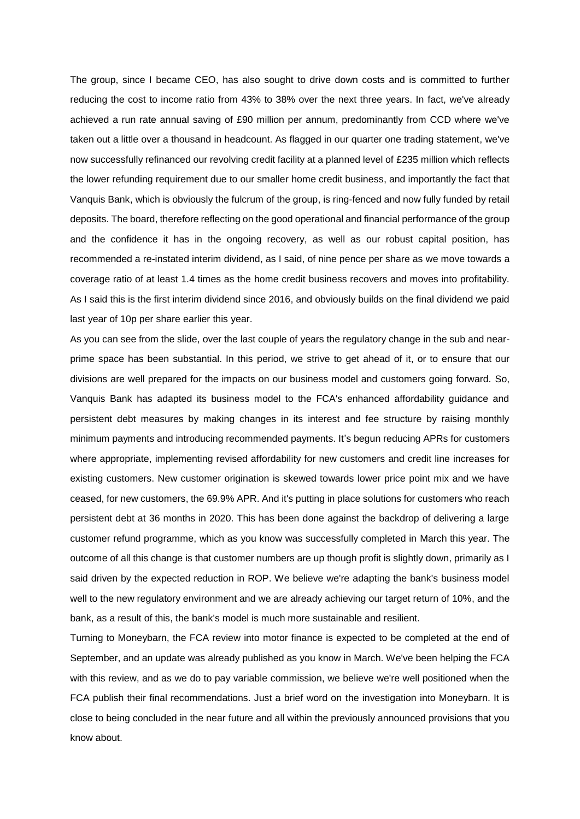The group, since I became CEO, has also sought to drive down costs and is committed to further reducing the cost to income ratio from 43% to 38% over the next three years. In fact, we've already achieved a run rate annual saving of £90 million per annum, predominantly from CCD where we've taken out a little over a thousand in headcount. As flagged in our quarter one trading statement, we've now successfully refinanced our revolving credit facility at a planned level of £235 million which reflects the lower refunding requirement due to our smaller home credit business, and importantly the fact that Vanquis Bank, which is obviously the fulcrum of the group, is ring-fenced and now fully funded by retail deposits. The board, therefore reflecting on the good operational and financial performance of the group and the confidence it has in the ongoing recovery, as well as our robust capital position, has recommended a re-instated interim dividend, as I said, of nine pence per share as we move towards a coverage ratio of at least 1.4 times as the home credit business recovers and moves into profitability. As I said this is the first interim dividend since 2016, and obviously builds on the final dividend we paid last year of 10p per share earlier this year.

As you can see from the slide, over the last couple of years the regulatory change in the sub and nearprime space has been substantial. In this period, we strive to get ahead of it, or to ensure that our divisions are well prepared for the impacts on our business model and customers going forward. So, Vanquis Bank has adapted its business model to the FCA's enhanced affordability guidance and persistent debt measures by making changes in its interest and fee structure by raising monthly minimum payments and introducing recommended payments. It's begun reducing APRs for customers where appropriate, implementing revised affordability for new customers and credit line increases for existing customers. New customer origination is skewed towards lower price point mix and we have ceased, for new customers, the 69.9% APR. And it's putting in place solutions for customers who reach persistent debt at 36 months in 2020. This has been done against the backdrop of delivering a large customer refund programme, which as you know was successfully completed in March this year. The outcome of all this change is that customer numbers are up though profit is slightly down, primarily as I said driven by the expected reduction in ROP. We believe we're adapting the bank's business model well to the new regulatory environment and we are already achieving our target return of 10%, and the bank, as a result of this, the bank's model is much more sustainable and resilient.

Turning to Moneybarn, the FCA review into motor finance is expected to be completed at the end of September, and an update was already published as you know in March. We've been helping the FCA with this review, and as we do to pay variable commission, we believe we're well positioned when the FCA publish their final recommendations. Just a brief word on the investigation into Moneybarn. It is close to being concluded in the near future and all within the previously announced provisions that you know about.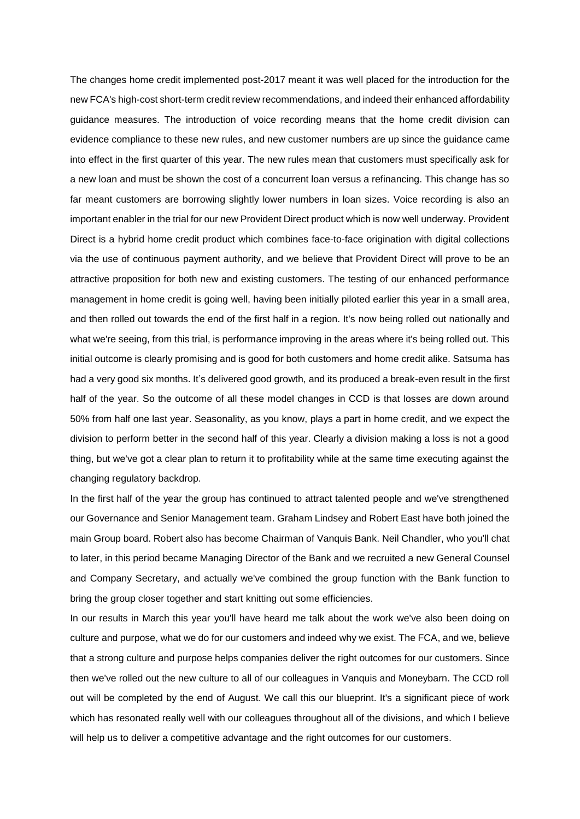The changes home credit implemented post-2017 meant it was well placed for the introduction for the new FCA's high-cost short-term credit review recommendations, and indeed their enhanced affordability guidance measures. The introduction of voice recording means that the home credit division can evidence compliance to these new rules, and new customer numbers are up since the guidance came into effect in the first quarter of this year. The new rules mean that customers must specifically ask for a new loan and must be shown the cost of a concurrent loan versus a refinancing. This change has so far meant customers are borrowing slightly lower numbers in loan sizes. Voice recording is also an important enabler in the trial for our new Provident Direct product which is now well underway. Provident Direct is a hybrid home credit product which combines face-to-face origination with digital collections via the use of continuous payment authority, and we believe that Provident Direct will prove to be an attractive proposition for both new and existing customers. The testing of our enhanced performance management in home credit is going well, having been initially piloted earlier this year in a small area, and then rolled out towards the end of the first half in a region. It's now being rolled out nationally and what we're seeing, from this trial, is performance improving in the areas where it's being rolled out. This initial outcome is clearly promising and is good for both customers and home credit alike. Satsuma has had a very good six months. It's delivered good growth, and its produced a break-even result in the first half of the year. So the outcome of all these model changes in CCD is that losses are down around 50% from half one last year. Seasonality, as you know, plays a part in home credit, and we expect the division to perform better in the second half of this year. Clearly a division making a loss is not a good thing, but we've got a clear plan to return it to profitability while at the same time executing against the changing regulatory backdrop.

In the first half of the year the group has continued to attract talented people and we've strengthened our Governance and Senior Management team. Graham Lindsey and Robert East have both joined the main Group board. Robert also has become Chairman of Vanquis Bank. Neil Chandler, who you'll chat to later, in this period became Managing Director of the Bank and we recruited a new General Counsel and Company Secretary, and actually we've combined the group function with the Bank function to bring the group closer together and start knitting out some efficiencies.

In our results in March this year you'll have heard me talk about the work we've also been doing on culture and purpose, what we do for our customers and indeed why we exist. The FCA, and we, believe that a strong culture and purpose helps companies deliver the right outcomes for our customers. Since then we've rolled out the new culture to all of our colleagues in Vanquis and Moneybarn. The CCD roll out will be completed by the end of August. We call this our blueprint. It's a significant piece of work which has resonated really well with our colleagues throughout all of the divisions, and which I believe will help us to deliver a competitive advantage and the right outcomes for our customers.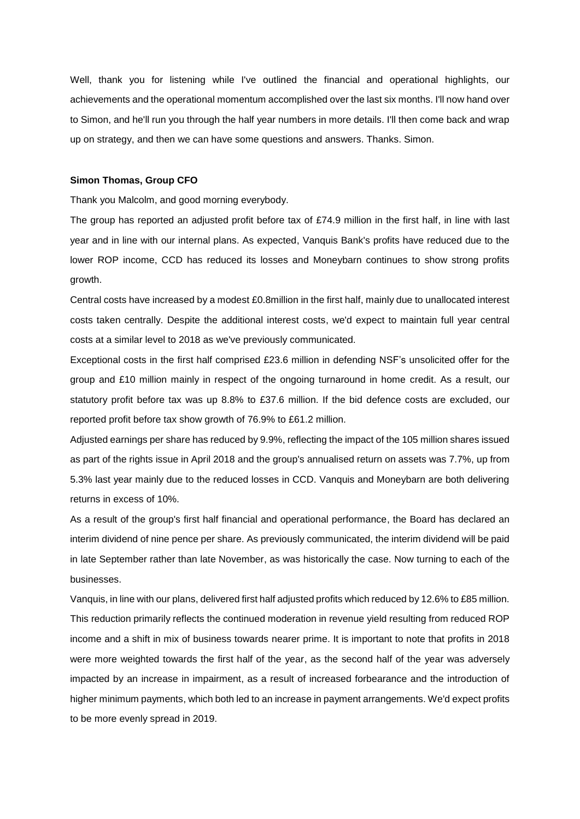Well, thank you for listening while I've outlined the financial and operational highlights, our achievements and the operational momentum accomplished over the last six months. I'll now hand over to Simon, and he'll run you through the half year numbers in more details. I'll then come back and wrap up on strategy, and then we can have some questions and answers. Thanks. Simon.

#### **Simon Thomas, Group CFO**

Thank you Malcolm, and good morning everybody.

The group has reported an adjusted profit before tax of £74.9 million in the first half, in line with last year and in line with our internal plans. As expected, Vanquis Bank's profits have reduced due to the lower ROP income, CCD has reduced its losses and Moneybarn continues to show strong profits growth.

Central costs have increased by a modest £0.8million in the first half, mainly due to unallocated interest costs taken centrally. Despite the additional interest costs, we'd expect to maintain full year central costs at a similar level to 2018 as we've previously communicated.

Exceptional costs in the first half comprised £23.6 million in defending NSF's unsolicited offer for the group and £10 million mainly in respect of the ongoing turnaround in home credit. As a result, our statutory profit before tax was up 8.8% to £37.6 million. If the bid defence costs are excluded, our reported profit before tax show growth of 76.9% to £61.2 million.

Adjusted earnings per share has reduced by 9.9%, reflecting the impact of the 105 million shares issued as part of the rights issue in April 2018 and the group's annualised return on assets was 7.7%, up from 5.3% last year mainly due to the reduced losses in CCD. Vanquis and Moneybarn are both delivering returns in excess of 10%.

As a result of the group's first half financial and operational performance, the Board has declared an interim dividend of nine pence per share. As previously communicated, the interim dividend will be paid in late September rather than late November, as was historically the case. Now turning to each of the businesses.

Vanquis, in line with our plans, delivered first half adjusted profits which reduced by 12.6% to £85 million. This reduction primarily reflects the continued moderation in revenue yield resulting from reduced ROP income and a shift in mix of business towards nearer prime. It is important to note that profits in 2018 were more weighted towards the first half of the year, as the second half of the year was adversely impacted by an increase in impairment, as a result of increased forbearance and the introduction of higher minimum payments, which both led to an increase in payment arrangements. We'd expect profits to be more evenly spread in 2019.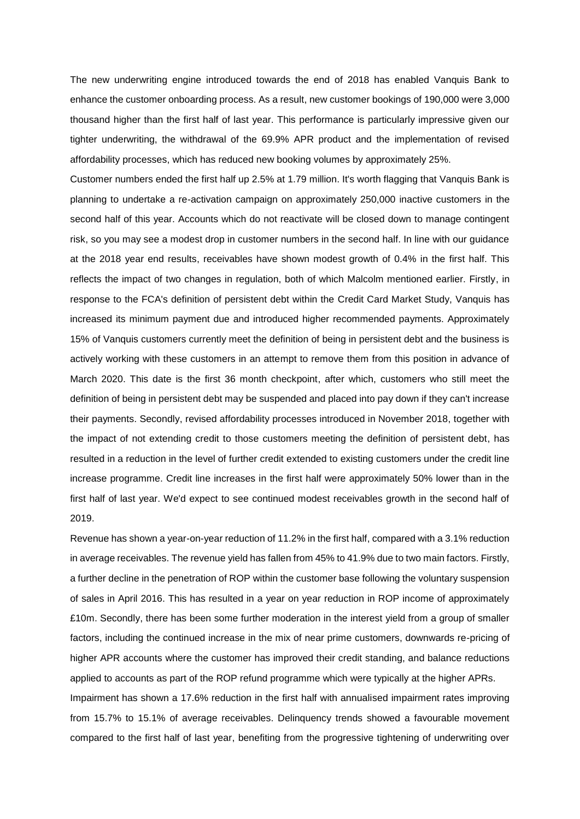The new underwriting engine introduced towards the end of 2018 has enabled Vanquis Bank to enhance the customer onboarding process. As a result, new customer bookings of 190,000 were 3,000 thousand higher than the first half of last year. This performance is particularly impressive given our tighter underwriting, the withdrawal of the 69.9% APR product and the implementation of revised affordability processes, which has reduced new booking volumes by approximately 25%.

Customer numbers ended the first half up 2.5% at 1.79 million. It's worth flagging that Vanquis Bank is planning to undertake a re-activation campaign on approximately 250,000 inactive customers in the second half of this year. Accounts which do not reactivate will be closed down to manage contingent risk, so you may see a modest drop in customer numbers in the second half. In line with our guidance at the 2018 year end results, receivables have shown modest growth of 0.4% in the first half. This reflects the impact of two changes in regulation, both of which Malcolm mentioned earlier. Firstly, in response to the FCA's definition of persistent debt within the Credit Card Market Study, Vanquis has increased its minimum payment due and introduced higher recommended payments. Approximately 15% of Vanquis customers currently meet the definition of being in persistent debt and the business is actively working with these customers in an attempt to remove them from this position in advance of March 2020. This date is the first 36 month checkpoint, after which, customers who still meet the definition of being in persistent debt may be suspended and placed into pay down if they can't increase their payments. Secondly, revised affordability processes introduced in November 2018, together with the impact of not extending credit to those customers meeting the definition of persistent debt, has resulted in a reduction in the level of further credit extended to existing customers under the credit line increase programme. Credit line increases in the first half were approximately 50% lower than in the first half of last year. We'd expect to see continued modest receivables growth in the second half of 2019.

Revenue has shown a year-on-year reduction of 11.2% in the first half, compared with a 3.1% reduction in average receivables. The revenue yield has fallen from 45% to 41.9% due to two main factors. Firstly, a further decline in the penetration of ROP within the customer base following the voluntary suspension of sales in April 2016. This has resulted in a year on year reduction in ROP income of approximately £10m. Secondly, there has been some further moderation in the interest yield from a group of smaller factors, including the continued increase in the mix of near prime customers, downwards re-pricing of higher APR accounts where the customer has improved their credit standing, and balance reductions applied to accounts as part of the ROP refund programme which were typically at the higher APRs. Impairment has shown a 17.6% reduction in the first half with annualised impairment rates improving from 15.7% to 15.1% of average receivables. Delinquency trends showed a favourable movement compared to the first half of last year, benefiting from the progressive tightening of underwriting over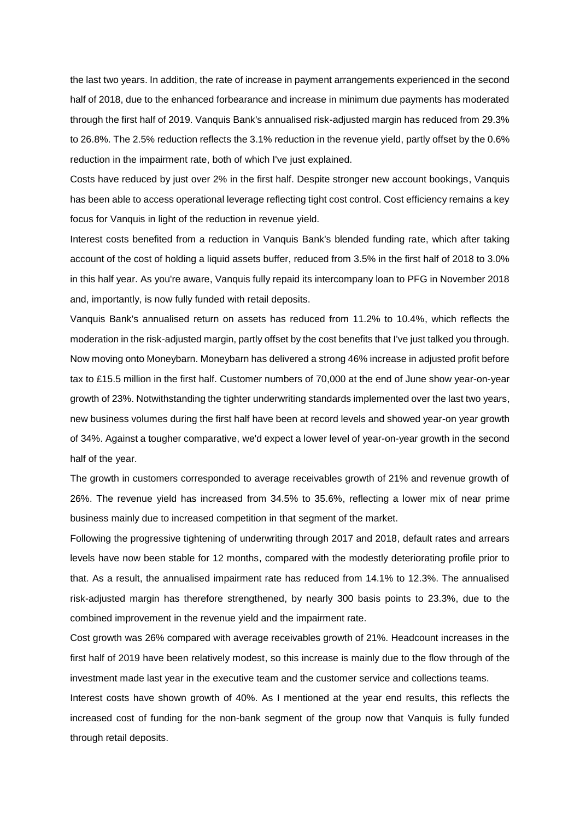the last two years. In addition, the rate of increase in payment arrangements experienced in the second half of 2018, due to the enhanced forbearance and increase in minimum due payments has moderated through the first half of 2019. Vanquis Bank's annualised risk-adjusted margin has reduced from 29.3% to 26.8%. The 2.5% reduction reflects the 3.1% reduction in the revenue yield, partly offset by the 0.6% reduction in the impairment rate, both of which I've just explained.

Costs have reduced by just over 2% in the first half. Despite stronger new account bookings, Vanquis has been able to access operational leverage reflecting tight cost control. Cost efficiency remains a key focus for Vanquis in light of the reduction in revenue yield.

Interest costs benefited from a reduction in Vanquis Bank's blended funding rate, which after taking account of the cost of holding a liquid assets buffer, reduced from 3.5% in the first half of 2018 to 3.0% in this half year. As you're aware, Vanquis fully repaid its intercompany loan to PFG in November 2018 and, importantly, is now fully funded with retail deposits.

Vanquis Bank's annualised return on assets has reduced from 11.2% to 10.4%, which reflects the moderation in the risk-adjusted margin, partly offset by the cost benefits that I've just talked you through. Now moving onto Moneybarn. Moneybarn has delivered a strong 46% increase in adjusted profit before tax to £15.5 million in the first half. Customer numbers of 70,000 at the end of June show year-on-year growth of 23%. Notwithstanding the tighter underwriting standards implemented over the last two years, new business volumes during the first half have been at record levels and showed year-on year growth of 34%. Against a tougher comparative, we'd expect a lower level of year-on-year growth in the second half of the year.

The growth in customers corresponded to average receivables growth of 21% and revenue growth of 26%. The revenue yield has increased from 34.5% to 35.6%, reflecting a lower mix of near prime business mainly due to increased competition in that segment of the market.

Following the progressive tightening of underwriting through 2017 and 2018, default rates and arrears levels have now been stable for 12 months, compared with the modestly deteriorating profile prior to that. As a result, the annualised impairment rate has reduced from 14.1% to 12.3%. The annualised risk-adjusted margin has therefore strengthened, by nearly 300 basis points to 23.3%, due to the combined improvement in the revenue yield and the impairment rate.

Cost growth was 26% compared with average receivables growth of 21%. Headcount increases in the first half of 2019 have been relatively modest, so this increase is mainly due to the flow through of the investment made last year in the executive team and the customer service and collections teams.

Interest costs have shown growth of 40%. As I mentioned at the year end results, this reflects the increased cost of funding for the non-bank segment of the group now that Vanquis is fully funded through retail deposits.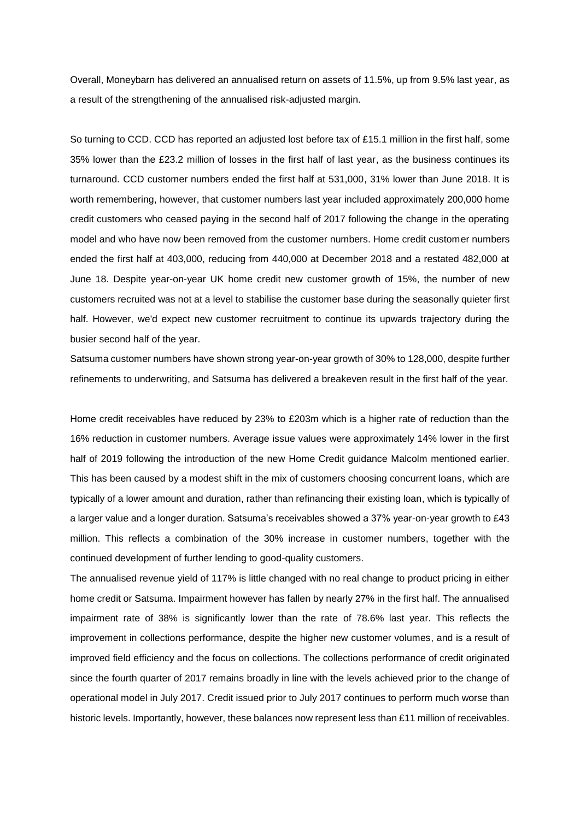Overall, Moneybarn has delivered an annualised return on assets of 11.5%, up from 9.5% last year, as a result of the strengthening of the annualised risk-adjusted margin.

So turning to CCD. CCD has reported an adjusted lost before tax of £15.1 million in the first half, some 35% lower than the £23.2 million of losses in the first half of last year, as the business continues its turnaround. CCD customer numbers ended the first half at 531,000, 31% lower than June 2018. It is worth remembering, however, that customer numbers last year included approximately 200,000 home credit customers who ceased paying in the second half of 2017 following the change in the operating model and who have now been removed from the customer numbers. Home credit customer numbers ended the first half at 403,000, reducing from 440,000 at December 2018 and a restated 482,000 at June 18. Despite year-on-year UK home credit new customer growth of 15%, the number of new customers recruited was not at a level to stabilise the customer base during the seasonally quieter first half. However, we'd expect new customer recruitment to continue its upwards trajectory during the busier second half of the year.

Satsuma customer numbers have shown strong year-on-year growth of 30% to 128,000, despite further refinements to underwriting, and Satsuma has delivered a breakeven result in the first half of the year.

Home credit receivables have reduced by 23% to £203m which is a higher rate of reduction than the 16% reduction in customer numbers. Average issue values were approximately 14% lower in the first half of 2019 following the introduction of the new Home Credit guidance Malcolm mentioned earlier. This has been caused by a modest shift in the mix of customers choosing concurrent loans, which are typically of a lower amount and duration, rather than refinancing their existing loan, which is typically of a larger value and a longer duration. Satsuma's receivables showed a 37% year-on-year growth to £43 million. This reflects a combination of the 30% increase in customer numbers, together with the continued development of further lending to good-quality customers.

The annualised revenue yield of 117% is little changed with no real change to product pricing in either home credit or Satsuma. Impairment however has fallen by nearly 27% in the first half. The annualised impairment rate of 38% is significantly lower than the rate of 78.6% last year. This reflects the improvement in collections performance, despite the higher new customer volumes, and is a result of improved field efficiency and the focus on collections. The collections performance of credit originated since the fourth quarter of 2017 remains broadly in line with the levels achieved prior to the change of operational model in July 2017. Credit issued prior to July 2017 continues to perform much worse than historic levels. Importantly, however, these balances now represent less than £11 million of receivables.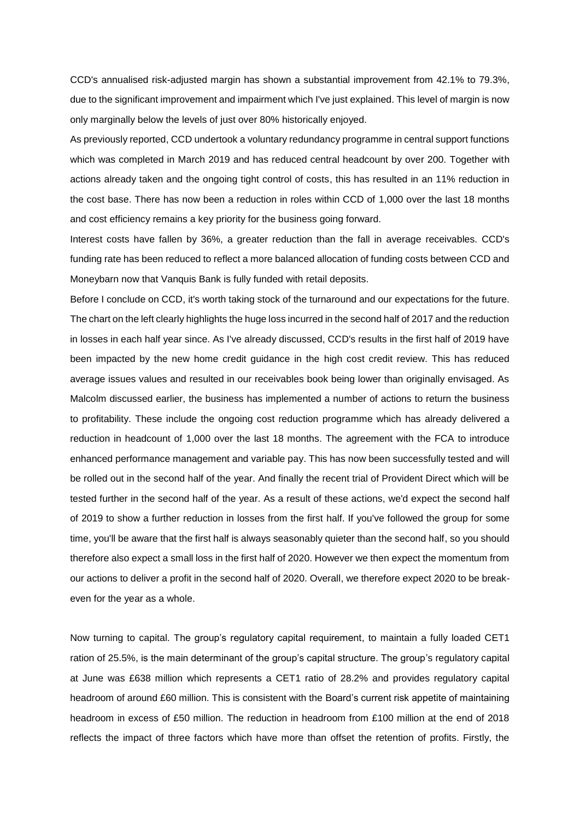CCD's annualised risk-adjusted margin has shown a substantial improvement from 42.1% to 79.3%, due to the significant improvement and impairment which I've just explained. This level of margin is now only marginally below the levels of just over 80% historically enjoyed.

As previously reported, CCD undertook a voluntary redundancy programme in central support functions which was completed in March 2019 and has reduced central headcount by over 200. Together with actions already taken and the ongoing tight control of costs, this has resulted in an 11% reduction in the cost base. There has now been a reduction in roles within CCD of 1,000 over the last 18 months and cost efficiency remains a key priority for the business going forward.

Interest costs have fallen by 36%, a greater reduction than the fall in average receivables. CCD's funding rate has been reduced to reflect a more balanced allocation of funding costs between CCD and Moneybarn now that Vanquis Bank is fully funded with retail deposits.

Before I conclude on CCD, it's worth taking stock of the turnaround and our expectations for the future. The chart on the left clearly highlights the huge loss incurred in the second half of 2017 and the reduction in losses in each half year since. As I've already discussed, CCD's results in the first half of 2019 have been impacted by the new home credit guidance in the high cost credit review. This has reduced average issues values and resulted in our receivables book being lower than originally envisaged. As Malcolm discussed earlier, the business has implemented a number of actions to return the business to profitability. These include the ongoing cost reduction programme which has already delivered a reduction in headcount of 1,000 over the last 18 months. The agreement with the FCA to introduce enhanced performance management and variable pay. This has now been successfully tested and will be rolled out in the second half of the year. And finally the recent trial of Provident Direct which will be tested further in the second half of the year. As a result of these actions, we'd expect the second half of 2019 to show a further reduction in losses from the first half. If you've followed the group for some time, you'll be aware that the first half is always seasonably quieter than the second half, so you should therefore also expect a small loss in the first half of 2020. However we then expect the momentum from our actions to deliver a profit in the second half of 2020. Overall, we therefore expect 2020 to be breakeven for the year as a whole.

Now turning to capital. The group's regulatory capital requirement, to maintain a fully loaded CET1 ration of 25.5%, is the main determinant of the group's capital structure. The group's regulatory capital at June was £638 million which represents a CET1 ratio of 28.2% and provides regulatory capital headroom of around £60 million. This is consistent with the Board's current risk appetite of maintaining headroom in excess of £50 million. The reduction in headroom from £100 million at the end of 2018 reflects the impact of three factors which have more than offset the retention of profits. Firstly, the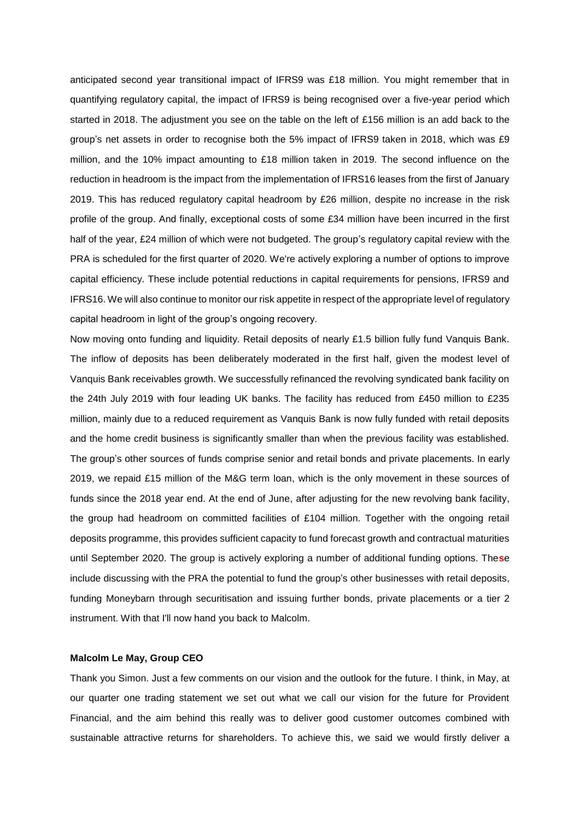anticipated second year transitional impact of IFRS9 was £18 million. You might remember that in quantifying regulatory capital, the impact of IFRS9 is being recognised over a five-year period which started in 2018. The adjustment you see on the table on the left of £156 million is an add back to the group's net assets in order to recognise both the 5% impact of IFRS9 taken in 2018, which was £9 million, and the 10% impact amounting to £18 million taken in 2019. The second influence on the reduction in headroom is the impact from the implementation of IFRS16 leases from the first of January 2019. This has reduced regulatory capital headroom by £26 million, despite no increase in the risk profile of the group. And finally, exceptional costs of some £34 million have been incurred in the first half of the year, £24 million of which were not budgeted. The group's regulatory capital review with the PRA is scheduled for the first quarter of 2020. We're actively exploring a number of options to improve capital efficiency. These include potential reductions in capital requirements for pensions, IFRS9 and IFRS16. We will also continue to monitor our risk appetite in respect of the appropriate level of regulatory capital headroom in light of the group's ongoing recovery.

Now moving onto funding and liquidity. Retail deposits of nearly £1.5 billion fully fund Vanquis Bank. The inflow of deposits has been deliberately moderated in the first half, given the modest level of Vanquis Bank receivables growth. We successfully refinanced the revolving syndicated bank facility on the 24th July 2019 with four leading UK banks. The facility has reduced from £450 million to £235 million, mainly due to a reduced requirement as Vanquis Bank is now fully funded with retail deposits and the home credit business is significantly smaller than when the previous facility was established. The group's other sources of funds comprise senior and retail bonds and private placements. In early 2019, we repaid £15 million of the M&G term loan, which is the only movement in these sources of funds since the 2018 year end. At the end of June, after adjusting for the new revolving bank facility, the group had headroom on committed facilities of £104 million. Together with the ongoing retail deposits programme, this provides sufficient capacity to fund forecast growth and contractual maturities until September 2020. The group is actively exploring a number of additional funding options. The**s**e include discussing with the PRA the potential to fund the group's other businesses with retail deposits, funding Moneybarn through securitisation and issuing further bonds, private placements or a tier 2 instrument. With that I'll now hand you back to Malcolm.

#### **Malcolm Le May, Group CEO**

Thank you Simon. Just a few comments on our vision and the outlook for the future. I think, in May, at our quarter one trading statement we set out what we call our vision for the future for Provident Financial, and the aim behind this really was to deliver good customer outcomes combined with sustainable attractive returns for shareholders. To achieve this, we said we would firstly deliver a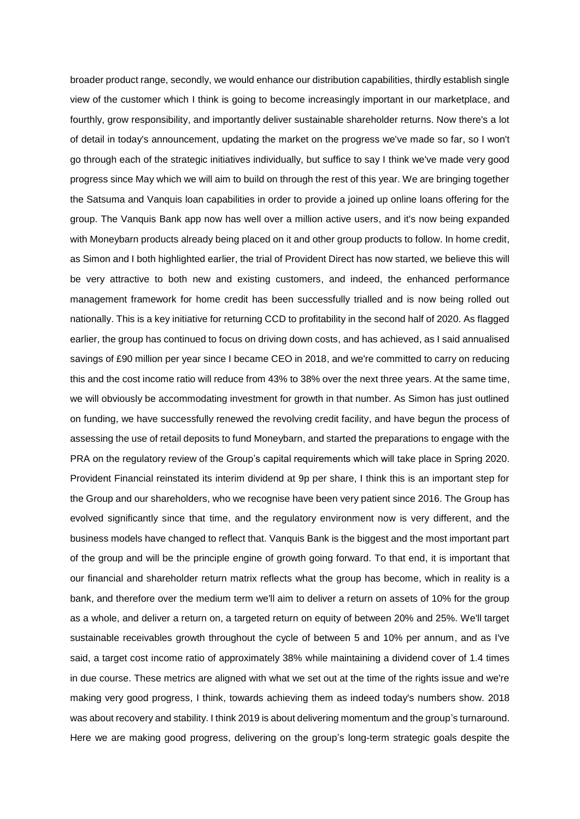broader product range, secondly, we would enhance our distribution capabilities, thirdly establish single view of the customer which I think is going to become increasingly important in our marketplace, and fourthly, grow responsibility, and importantly deliver sustainable shareholder returns. Now there's a lot of detail in today's announcement, updating the market on the progress we've made so far, so I won't go through each of the strategic initiatives individually, but suffice to say I think we've made very good progress since May which we will aim to build on through the rest of this year. We are bringing together the Satsuma and Vanquis loan capabilities in order to provide a joined up online loans offering for the group. The Vanquis Bank app now has well over a million active users, and it's now being expanded with Moneybarn products already being placed on it and other group products to follow. In home credit, as Simon and I both highlighted earlier, the trial of Provident Direct has now started, we believe this will be very attractive to both new and existing customers, and indeed, the enhanced performance management framework for home credit has been successfully trialled and is now being rolled out nationally. This is a key initiative for returning CCD to profitability in the second half of 2020. As flagged earlier, the group has continued to focus on driving down costs, and has achieved, as I said annualised savings of £90 million per year since I became CEO in 2018, and we're committed to carry on reducing this and the cost income ratio will reduce from 43% to 38% over the next three years. At the same time, we will obviously be accommodating investment for growth in that number. As Simon has just outlined on funding, we have successfully renewed the revolving credit facility, and have begun the process of assessing the use of retail deposits to fund Moneybarn, and started the preparations to engage with the PRA on the regulatory review of the Group's capital requirements which will take place in Spring 2020. Provident Financial reinstated its interim dividend at 9p per share, I think this is an important step for the Group and our shareholders, who we recognise have been very patient since 2016. The Group has evolved significantly since that time, and the regulatory environment now is very different, and the business models have changed to reflect that. Vanquis Bank is the biggest and the most important part of the group and will be the principle engine of growth going forward. To that end, it is important that our financial and shareholder return matrix reflects what the group has become, which in reality is a bank, and therefore over the medium term we'll aim to deliver a return on assets of 10% for the group as a whole, and deliver a return on, a targeted return on equity of between 20% and 25%. We'll target sustainable receivables growth throughout the cycle of between 5 and 10% per annum, and as I've said, a target cost income ratio of approximately 38% while maintaining a dividend cover of 1.4 times in due course. These metrics are aligned with what we set out at the time of the rights issue and we're making very good progress, I think, towards achieving them as indeed today's numbers show. 2018 was about recovery and stability. I think 2019 is about delivering momentum and the group's turnaround. Here we are making good progress, delivering on the group's long-term strategic goals despite the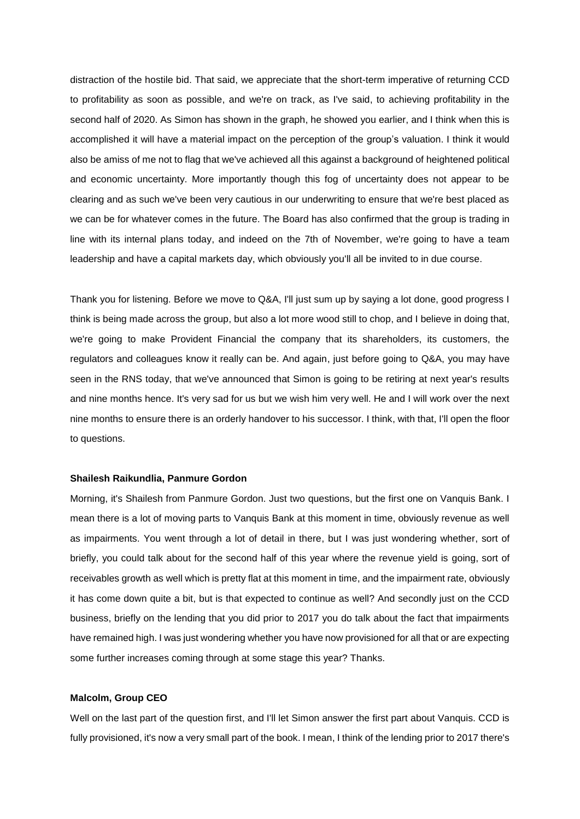distraction of the hostile bid. That said, we appreciate that the short-term imperative of returning CCD to profitability as soon as possible, and we're on track, as I've said, to achieving profitability in the second half of 2020. As Simon has shown in the graph, he showed you earlier, and I think when this is accomplished it will have a material impact on the perception of the group's valuation. I think it would also be amiss of me not to flag that we've achieved all this against a background of heightened political and economic uncertainty. More importantly though this fog of uncertainty does not appear to be clearing and as such we've been very cautious in our underwriting to ensure that we're best placed as we can be for whatever comes in the future. The Board has also confirmed that the group is trading in line with its internal plans today, and indeed on the 7th of November, we're going to have a team leadership and have a capital markets day, which obviously you'll all be invited to in due course.

Thank you for listening. Before we move to Q&A, I'll just sum up by saying a lot done, good progress I think is being made across the group, but also a lot more wood still to chop, and I believe in doing that, we're going to make Provident Financial the company that its shareholders, its customers, the regulators and colleagues know it really can be. And again, just before going to Q&A, you may have seen in the RNS today, that we've announced that Simon is going to be retiring at next year's results and nine months hence. It's very sad for us but we wish him very well. He and I will work over the next nine months to ensure there is an orderly handover to his successor. I think, with that, I'll open the floor to questions.

#### **Shailesh Raikundlia, Panmure Gordon**

Morning, it's Shailesh from Panmure Gordon. Just two questions, but the first one on Vanquis Bank. I mean there is a lot of moving parts to Vanquis Bank at this moment in time, obviously revenue as well as impairments. You went through a lot of detail in there, but I was just wondering whether, sort of briefly, you could talk about for the second half of this year where the revenue yield is going, sort of receivables growth as well which is pretty flat at this moment in time, and the impairment rate, obviously it has come down quite a bit, but is that expected to continue as well? And secondly just on the CCD business, briefly on the lending that you did prior to 2017 you do talk about the fact that impairments have remained high. I was just wondering whether you have now provisioned for all that or are expecting some further increases coming through at some stage this year? Thanks.

## **Malcolm, Group CEO**

Well on the last part of the question first, and I'll let Simon answer the first part about Vanquis. CCD is fully provisioned, it's now a very small part of the book. I mean, I think of the lending prior to 2017 there's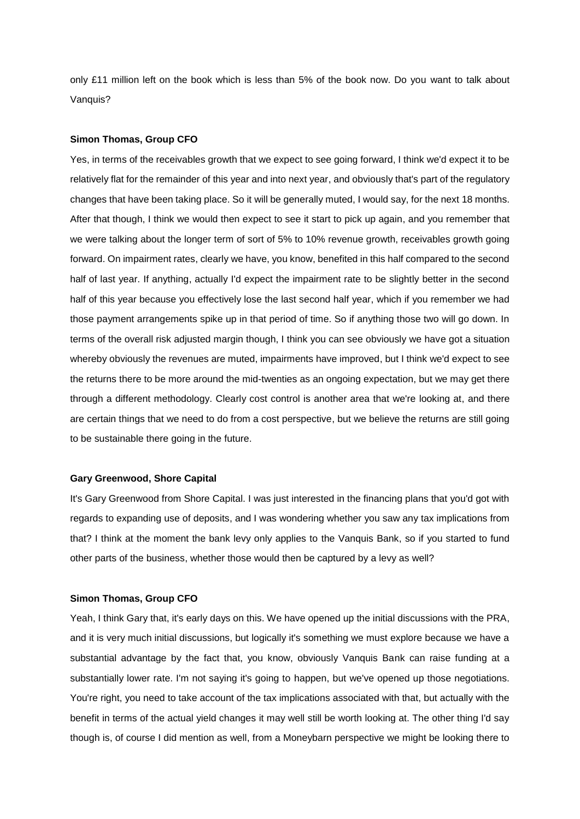only £11 million left on the book which is less than 5% of the book now. Do you want to talk about Vanquis?

#### **Simon Thomas, Group CFO**

Yes, in terms of the receivables growth that we expect to see going forward, I think we'd expect it to be relatively flat for the remainder of this year and into next year, and obviously that's part of the regulatory changes that have been taking place. So it will be generally muted, I would say, for the next 18 months. After that though, I think we would then expect to see it start to pick up again, and you remember that we were talking about the longer term of sort of 5% to 10% revenue growth, receivables growth going forward. On impairment rates, clearly we have, you know, benefited in this half compared to the second half of last year. If anything, actually I'd expect the impairment rate to be slightly better in the second half of this year because you effectively lose the last second half year, which if you remember we had those payment arrangements spike up in that period of time. So if anything those two will go down. In terms of the overall risk adjusted margin though, I think you can see obviously we have got a situation whereby obviously the revenues are muted, impairments have improved, but I think we'd expect to see the returns there to be more around the mid-twenties as an ongoing expectation, but we may get there through a different methodology. Clearly cost control is another area that we're looking at, and there are certain things that we need to do from a cost perspective, but we believe the returns are still going to be sustainable there going in the future.

# **Gary Greenwood, Shore Capital**

It's Gary Greenwood from Shore Capital. I was just interested in the financing plans that you'd got with regards to expanding use of deposits, and I was wondering whether you saw any tax implications from that? I think at the moment the bank levy only applies to the Vanquis Bank, so if you started to fund other parts of the business, whether those would then be captured by a levy as well?

## **Simon Thomas, Group CFO**

Yeah, I think Gary that, it's early days on this. We have opened up the initial discussions with the PRA, and it is very much initial discussions, but logically it's something we must explore because we have a substantial advantage by the fact that, you know, obviously Vanquis Bank can raise funding at a substantially lower rate. I'm not saying it's going to happen, but we've opened up those negotiations. You're right, you need to take account of the tax implications associated with that, but actually with the benefit in terms of the actual yield changes it may well still be worth looking at. The other thing I'd say though is, of course I did mention as well, from a Moneybarn perspective we might be looking there to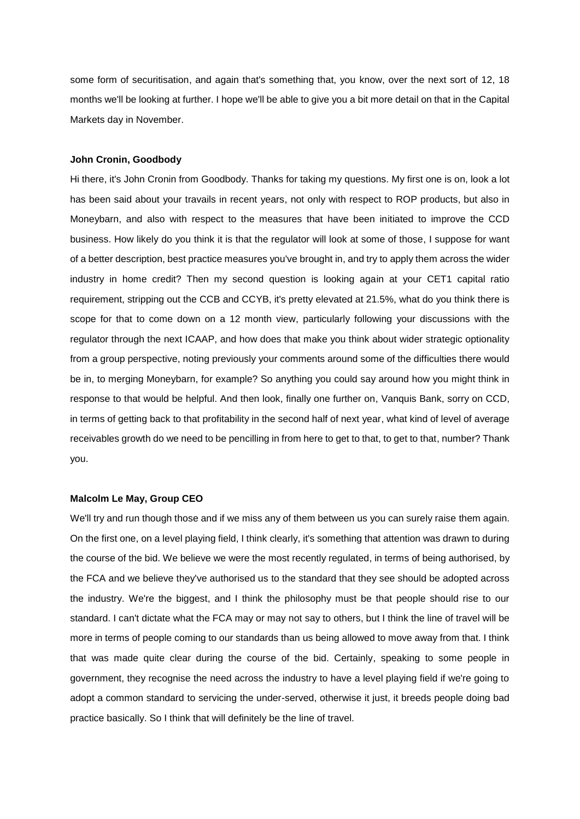some form of securitisation, and again that's something that, you know, over the next sort of 12, 18 months we'll be looking at further. I hope we'll be able to give you a bit more detail on that in the Capital Markets day in November.

## **John Cronin, Goodbody**

Hi there, it's John Cronin from Goodbody. Thanks for taking my questions. My first one is on, look a lot has been said about your travails in recent years, not only with respect to ROP products, but also in Moneybarn, and also with respect to the measures that have been initiated to improve the CCD business. How likely do you think it is that the regulator will look at some of those, I suppose for want of a better description, best practice measures you've brought in, and try to apply them across the wider industry in home credit? Then my second question is looking again at your CET1 capital ratio requirement, stripping out the CCB and CCYB, it's pretty elevated at 21.5%, what do you think there is scope for that to come down on a 12 month view, particularly following your discussions with the regulator through the next ICAAP, and how does that make you think about wider strategic optionality from a group perspective, noting previously your comments around some of the difficulties there would be in, to merging Moneybarn, for example? So anything you could say around how you might think in response to that would be helpful. And then look, finally one further on, Vanquis Bank, sorry on CCD, in terms of getting back to that profitability in the second half of next year, what kind of level of average receivables growth do we need to be pencilling in from here to get to that, to get to that, number? Thank you.

## **Malcolm Le May, Group CEO**

We'll try and run though those and if we miss any of them between us you can surely raise them again. On the first one, on a level playing field, I think clearly, it's something that attention was drawn to during the course of the bid. We believe we were the most recently regulated, in terms of being authorised, by the FCA and we believe they've authorised us to the standard that they see should be adopted across the industry. We're the biggest, and I think the philosophy must be that people should rise to our standard. I can't dictate what the FCA may or may not say to others, but I think the line of travel will be more in terms of people coming to our standards than us being allowed to move away from that. I think that was made quite clear during the course of the bid. Certainly, speaking to some people in government, they recognise the need across the industry to have a level playing field if we're going to adopt a common standard to servicing the under-served, otherwise it just, it breeds people doing bad practice basically. So I think that will definitely be the line of travel.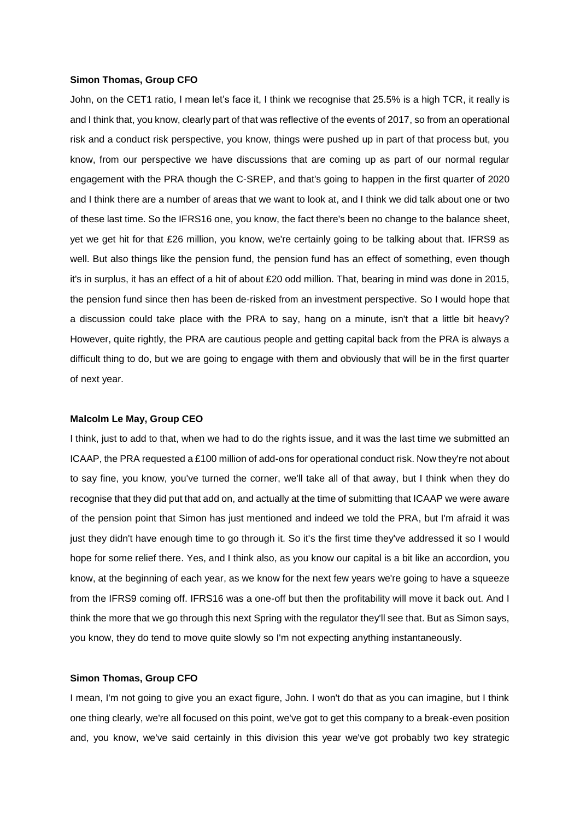#### **Simon Thomas, Group CFO**

John, on the CET1 ratio, I mean let's face it, I think we recognise that 25.5% is a high TCR, it really is and I think that, you know, clearly part of that was reflective of the events of 2017, so from an operational risk and a conduct risk perspective, you know, things were pushed up in part of that process but, you know, from our perspective we have discussions that are coming up as part of our normal regular engagement with the PRA though the C-SREP, and that's going to happen in the first quarter of 2020 and I think there are a number of areas that we want to look at, and I think we did talk about one or two of these last time. So the IFRS16 one, you know, the fact there's been no change to the balance sheet, yet we get hit for that £26 million, you know, we're certainly going to be talking about that. IFRS9 as well. But also things like the pension fund, the pension fund has an effect of something, even though it's in surplus, it has an effect of a hit of about £20 odd million. That, bearing in mind was done in 2015, the pension fund since then has been de-risked from an investment perspective. So I would hope that a discussion could take place with the PRA to say, hang on a minute, isn't that a little bit heavy? However, quite rightly, the PRA are cautious people and getting capital back from the PRA is always a difficult thing to do, but we are going to engage with them and obviously that will be in the first quarter of next year.

#### **Malcolm Le May, Group CEO**

I think, just to add to that, when we had to do the rights issue, and it was the last time we submitted an ICAAP, the PRA requested a £100 million of add-ons for operational conduct risk. Now they're not about to say fine, you know, you've turned the corner, we'll take all of that away, but I think when they do recognise that they did put that add on, and actually at the time of submitting that ICAAP we were aware of the pension point that Simon has just mentioned and indeed we told the PRA, but I'm afraid it was just they didn't have enough time to go through it. So it's the first time they've addressed it so I would hope for some relief there. Yes, and I think also, as you know our capital is a bit like an accordion, you know, at the beginning of each year, as we know for the next few years we're going to have a squeeze from the IFRS9 coming off. IFRS16 was a one-off but then the profitability will move it back out. And I think the more that we go through this next Spring with the regulator they'll see that. But as Simon says, you know, they do tend to move quite slowly so I'm not expecting anything instantaneously.

## **Simon Thomas, Group CFO**

I mean, I'm not going to give you an exact figure, John. I won't do that as you can imagine, but I think one thing clearly, we're all focused on this point, we've got to get this company to a break-even position and, you know, we've said certainly in this division this year we've got probably two key strategic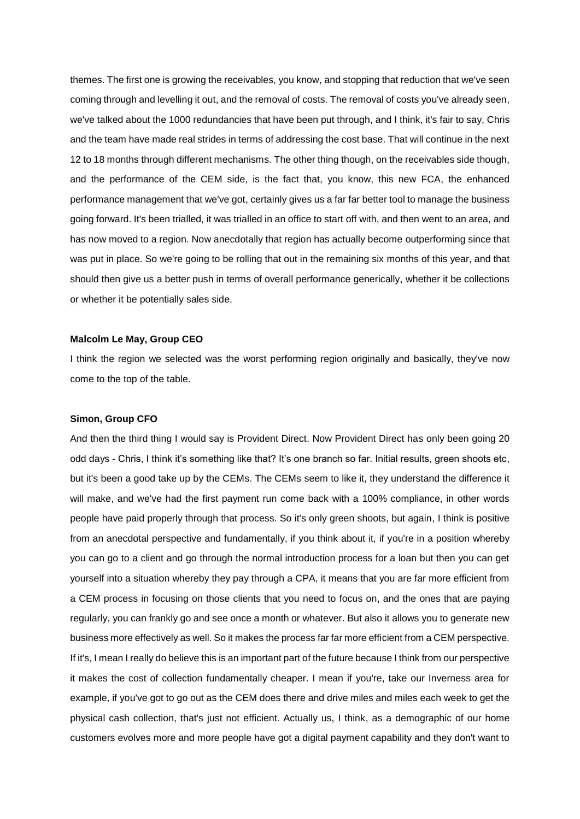themes. The first one is growing the receivables, you know, and stopping that reduction that we've seen coming through and levelling it out, and the removal of costs. The removal of costs you've already seen, we've talked about the 1000 redundancies that have been put through, and I think, it's fair to say, Chris and the team have made real strides in terms of addressing the cost base. That will continue in the next 12 to 18 months through different mechanisms. The other thing though, on the receivables side though, and the performance of the CEM side, is the fact that, you know, this new FCA, the enhanced performance management that we've got, certainly gives us a far far better tool to manage the business going forward. It's been trialled, it was trialled in an office to start off with, and then went to an area, and has now moved to a region. Now anecdotally that region has actually become outperforming since that was put in place. So we're going to be rolling that out in the remaining six months of this year, and that should then give us a better push in terms of overall performance generically, whether it be collections or whether it be potentially sales side.

## **Malcolm Le May, Group CEO**

I think the region we selected was the worst performing region originally and basically, they've now come to the top of the table.

#### **Simon, Group CFO**

And then the third thing I would say is Provident Direct. Now Provident Direct has only been going 20 odd days - Chris, I think it's something like that? It's one branch so far. Initial results, green shoots etc, but it's been a good take up by the CEMs. The CEMs seem to like it, they understand the difference it will make, and we've had the first payment run come back with a 100% compliance, in other words people have paid properly through that process. So it's only green shoots, but again, I think is positive from an anecdotal perspective and fundamentally, if you think about it, if you're in a position whereby you can go to a client and go through the normal introduction process for a loan but then you can get yourself into a situation whereby they pay through a CPA, it means that you are far more efficient from a CEM process in focusing on those clients that you need to focus on, and the ones that are paying regularly, you can frankly go and see once a month or whatever. But also it allows you to generate new business more effectively as well. So it makes the process far far more efficient from a CEM perspective. If it's, I mean I really do believe this is an important part of the future because I think from our perspective it makes the cost of collection fundamentally cheaper. I mean if you're, take our Inverness area for example, if you've got to go out as the CEM does there and drive miles and miles each week to get the physical cash collection, that's just not efficient. Actually us, I think, as a demographic of our home customers evolves more and more people have got a digital payment capability and they don't want to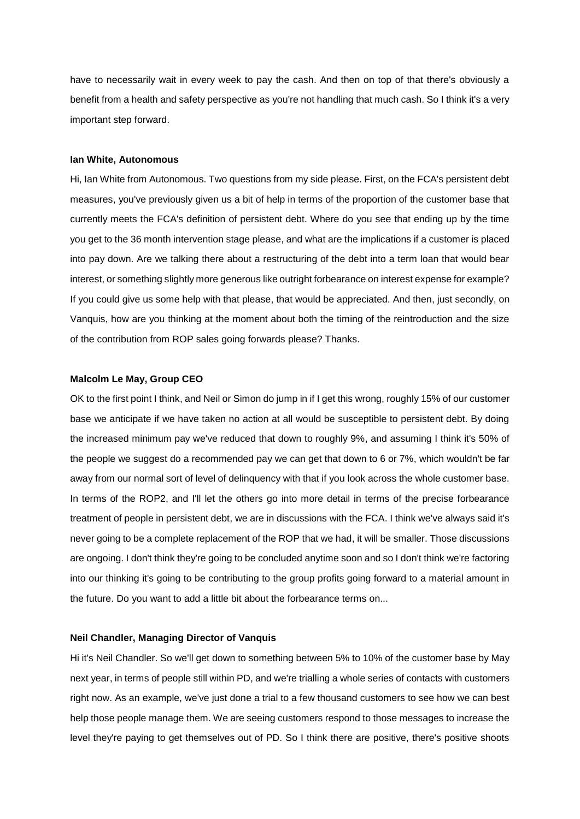have to necessarily wait in every week to pay the cash. And then on top of that there's obviously a benefit from a health and safety perspective as you're not handling that much cash. So I think it's a very important step forward.

## **Ian White, Autonomous**

Hi, Ian White from Autonomous. Two questions from my side please. First, on the FCA's persistent debt measures, you've previously given us a bit of help in terms of the proportion of the customer base that currently meets the FCA's definition of persistent debt. Where do you see that ending up by the time you get to the 36 month intervention stage please, and what are the implications if a customer is placed into pay down. Are we talking there about a restructuring of the debt into a term loan that would bear interest, or something slightly more generous like outright forbearance on interest expense for example? If you could give us some help with that please, that would be appreciated. And then, just secondly, on Vanquis, how are you thinking at the moment about both the timing of the reintroduction and the size of the contribution from ROP sales going forwards please? Thanks.

## **Malcolm Le May, Group CEO**

OK to the first point I think, and Neil or Simon do jump in if I get this wrong, roughly 15% of our customer base we anticipate if we have taken no action at all would be susceptible to persistent debt. By doing the increased minimum pay we've reduced that down to roughly 9%, and assuming I think it's 50% of the people we suggest do a recommended pay we can get that down to 6 or 7%, which wouldn't be far away from our normal sort of level of delinquency with that if you look across the whole customer base. In terms of the ROP2, and I'll let the others go into more detail in terms of the precise forbearance treatment of people in persistent debt, we are in discussions with the FCA. I think we've always said it's never going to be a complete replacement of the ROP that we had, it will be smaller. Those discussions are ongoing. I don't think they're going to be concluded anytime soon and so I don't think we're factoring into our thinking it's going to be contributing to the group profits going forward to a material amount in the future. Do you want to add a little bit about the forbearance terms on...

# **Neil Chandler, Managing Director of Vanquis**

Hi it's Neil Chandler. So we'll get down to something between 5% to 10% of the customer base by May next year, in terms of people still within PD, and we're trialling a whole series of contacts with customers right now. As an example, we've just done a trial to a few thousand customers to see how we can best help those people manage them. We are seeing customers respond to those messages to increase the level they're paying to get themselves out of PD. So I think there are positive, there's positive shoots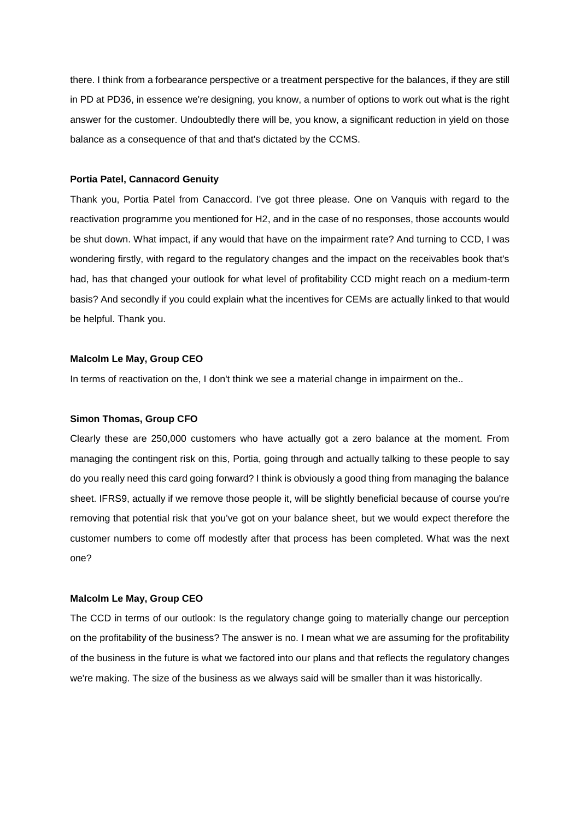there. I think from a forbearance perspective or a treatment perspective for the balances, if they are still in PD at PD36, in essence we're designing, you know, a number of options to work out what is the right answer for the customer. Undoubtedly there will be, you know, a significant reduction in yield on those balance as a consequence of that and that's dictated by the CCMS.

#### **Portia Patel, Cannacord Genuity**

Thank you, Portia Patel from Canaccord. I've got three please. One on Vanquis with regard to the reactivation programme you mentioned for H2, and in the case of no responses, those accounts would be shut down. What impact, if any would that have on the impairment rate? And turning to CCD, I was wondering firstly, with regard to the regulatory changes and the impact on the receivables book that's had, has that changed your outlook for what level of profitability CCD might reach on a medium-term basis? And secondly if you could explain what the incentives for CEMs are actually linked to that would be helpful. Thank you.

## **Malcolm Le May, Group CEO**

In terms of reactivation on the, I don't think we see a material change in impairment on the..

#### **Simon Thomas, Group CFO**

Clearly these are 250,000 customers who have actually got a zero balance at the moment. From managing the contingent risk on this, Portia, going through and actually talking to these people to say do you really need this card going forward? I think is obviously a good thing from managing the balance sheet. IFRS9, actually if we remove those people it, will be slightly beneficial because of course you're removing that potential risk that you've got on your balance sheet, but we would expect therefore the customer numbers to come off modestly after that process has been completed. What was the next one?

## **Malcolm Le May, Group CEO**

The CCD in terms of our outlook: Is the regulatory change going to materially change our perception on the profitability of the business? The answer is no. I mean what we are assuming for the profitability of the business in the future is what we factored into our plans and that reflects the regulatory changes we're making. The size of the business as we always said will be smaller than it was historically.